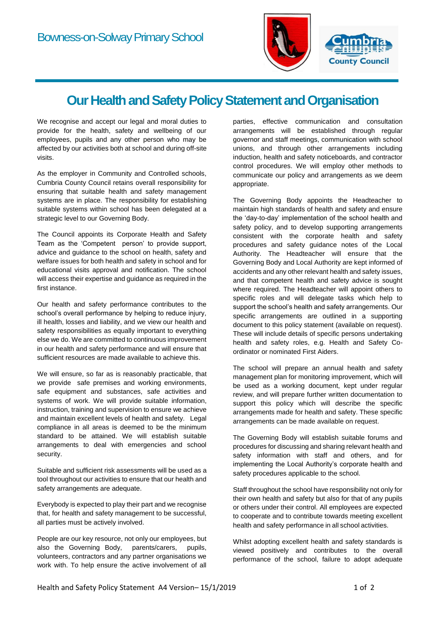

## **Our Health and Safety Policy Statement and Organisation**

We recognise and accept our legal and moral duties to provide for the health, safety and wellbeing of our employees, pupils and any other person who may be affected by our activities both at school and during off-site visits.

As the employer in Community and Controlled schools, Cumbria County Council retains overall responsibility for ensuring that suitable health and safety management systems are in place. The responsibility for establishing suitable systems within school has been delegated at a strategic level to our Governing Body.

The Council appoints its Corporate Health and Safety Team as the 'Competent person' to provide support, advice and guidance to the school on health, safety and welfare issues for both health and safety in school and for educational visits approval and notification. The school will access their expertise and quidance as required in the first instance.

Our health and safety performance contributes to the school's overall performance by helping to reduce injury. ill health, losses and liability, and we view our health and safety responsibilities as equally important to everything else we do. We are committed to continuous improvement in our health and safety performance and will ensure that sufficient resources are made available to achieve this.

We will ensure, so far as is reasonably practicable, that we provide safe premises and working environments, safe equipment and substances, safe activities and systems of work. We will provide suitable information, instruction, training and supervision to ensure we achieve and maintain excellent levels of health and safety. Legal compliance in all areas is deemed to be the minimum standard to be attained. We will establish suitable arrangements to deal with emergencies and school security.

Suitable and sufficient risk assessments will be used as a tool throughout our activities to ensure that our health and safety arrangements are adequate.

Everybody is expected to play their part and we recognise that, for health and safety management to be successful, all parties must be actively involved.

People are our key resource, not only our employees, but also the Governing Body, parents/carers, pupils, volunteers, contractors and any partner organisations we work with. To help ensure the active involvement of all parties, effective communication and consultation arrangements will be established through regular governor and staff meetings, communication with school unions, and through other arrangements including induction, health and safety noticeboards, and contractor control procedures. We will employ other methods to communicate our policy and arrangements as we deem appropriate.

The Governing Body appoints the Headteacher to maintain high standards of health and safety and ensure the 'day-to-day' implementation of the school health and safety policy, and to develop supporting arrangements consistent with the corporate health and safety procedures and safety guidance notes of the Local Authority. The Headteacher will ensure that the Governing Body and Local Authority are kept informed of accidents and any other relevant health and safety issues, and that competent health and safety advice is sought where required. The Headteacher will appoint others to specific roles and will delegate tasks which help to support the school's health and safety arrangements. Our specific arrangements are outlined in a supporting document to this policy statement (available on request). These will include details of specific persons undertaking health and safety roles, e.g. Health and Safety Coordinator or nominated First Aiders.

The school will prepare an annual health and safety management plan for monitoring improvement, which will be used as a working document, kept under regular review, and will prepare further written documentation to support this policy which will describe the specific arrangements made for health and safety. These specific arrangements can be made available on request.

The Governing Body will establish suitable forums and procedures for discussing and sharing relevant health and safety information with staff and others, and for implementing the Local Authority's corporate health and safety procedures applicable to the school.

Staff throughout the school have responsibility not only for their own health and safety but also for that of any pupils or others under their control. All employees are expected to cooperate and to contribute towards meeting excellent health and safety performance in all school activities.

Whilst adopting excellent health and safety standards is viewed positively and contributes to the overall performance of the school, failure to adopt adequate